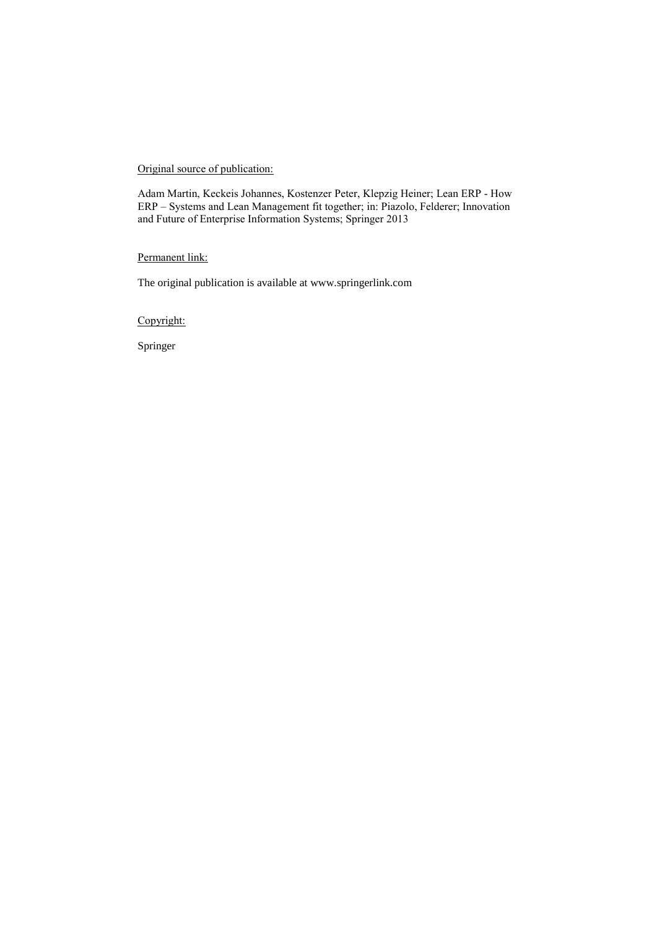# Original source of publication:

Adam Martin, Keckeis Johannes, Kostenzer Peter, Klepzig Heiner; Lean ERP - How ERP – Systems and Lean Management fit together; in: Piazolo, Felderer; Innovation and Future of Enterprise Information Systems; Springer 2013

# Permanent link:

The original publication is available at www.springerlink.com

Copyright:

Springer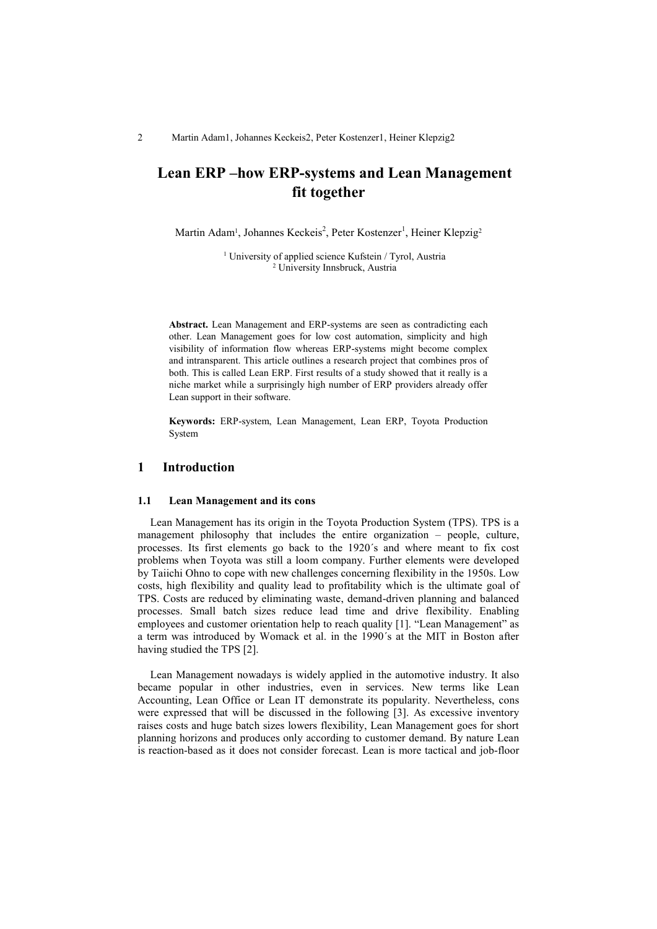# **Lean ERP –how ERP-systems and Lean Management fit together**

Martin Adam<sup>1</sup>, Johannes Keckeis<sup>2</sup>, Peter Kostenzer<sup>1</sup>, Heiner Klepzig<sup>2</sup>

<sup>1</sup> University of applied science Kufstein / Tyrol, Austria <sup>2</sup> University Innsbruck, Austria

**Abstract.** Lean Management and ERP-systems are seen as contradicting each other. Lean Management goes for low cost automation, simplicity and high visibility of information flow whereas ERP-systems might become complex and intransparent. This article outlines a research project that combines pros of both. This is called Lean ERP. First results of a study showed that it really is a niche market while a surprisingly high number of ERP providers already offer Lean support in their software.

**Keywords:** ERP-system, Lean Management, Lean ERP, Toyota Production System

# **1 Introduction**

#### **1.1 Lean Management and its cons**

Lean Management has its origin in the Toyota Production System (TPS). TPS is a management philosophy that includes the entire organization – people, culture, processes. Its first elements go back to the 1920´s and where meant to fix cost problems when Toyota was still a loom company. Further elements were developed by Taiichi Ohno to cope with new challenges concerning flexibility in the 1950s. Low costs, high flexibility and quality lead to profitability which is the ultimate goal of TPS. Costs are reduced by eliminating waste, demand-driven planning and balanced processes. Small batch sizes reduce lead time and drive flexibility. Enabling employees and customer orientation help to reach quality [1]. "Lean Management" as a term was introduced by Womack et al. in the 1990´s at the MIT in Boston after having studied the TPS [2].

Lean Management nowadays is widely applied in the automotive industry. It also became popular in other industries, even in services. New terms like Lean Accounting, Lean Office or Lean IT demonstrate its popularity. Nevertheless, cons were expressed that will be discussed in the following [3]. As excessive inventory raises costs and huge batch sizes lowers flexibility, Lean Management goes for short planning horizons and produces only according to customer demand. By nature Lean is reaction-based as it does not consider forecast. Lean is more tactical and job-floor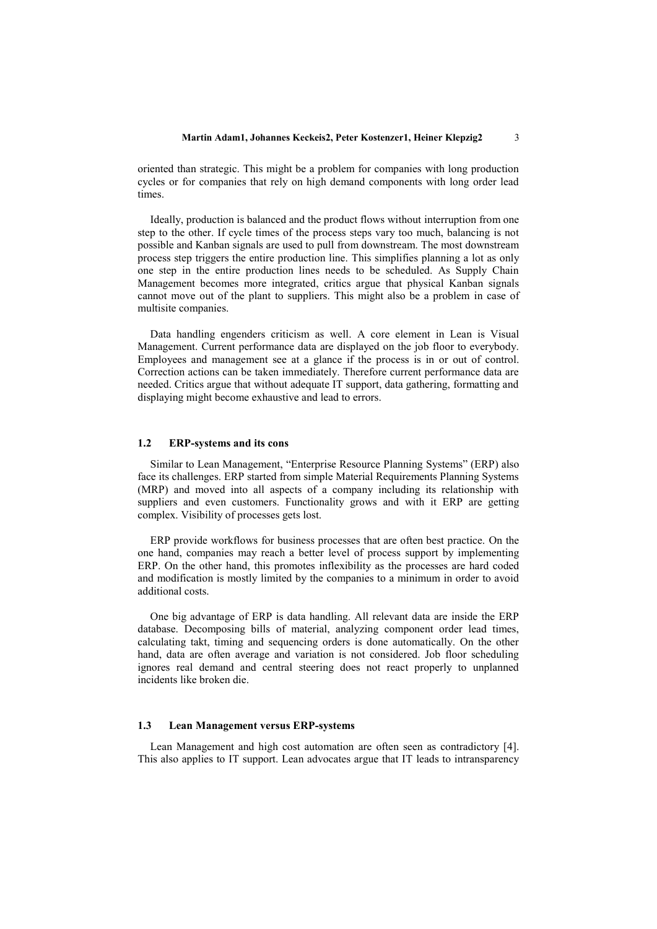oriented than strategic. This might be a problem for companies with long production cycles or for companies that rely on high demand components with long order lead times.

Ideally, production is balanced and the product flows without interruption from one step to the other. If cycle times of the process steps vary too much, balancing is not possible and Kanban signals are used to pull from downstream. The most downstream process step triggers the entire production line. This simplifies planning a lot as only one step in the entire production lines needs to be scheduled. As Supply Chain Management becomes more integrated, critics argue that physical Kanban signals cannot move out of the plant to suppliers. This might also be a problem in case of multisite companies.

Data handling engenders criticism as well. A core element in Lean is Visual Management. Current performance data are displayed on the job floor to everybody. Employees and management see at a glance if the process is in or out of control. Correction actions can be taken immediately. Therefore current performance data are needed. Critics argue that without adequate IT support, data gathering, formatting and displaying might become exhaustive and lead to errors.

#### **1.2 ERP-systems and its cons**

Similar to Lean Management, "Enterprise Resource Planning Systems" (ERP) also face its challenges. ERP started from simple Material Requirements Planning Systems (MRP) and moved into all aspects of a company including its relationship with suppliers and even customers. Functionality grows and with it ERP are getting complex. Visibility of processes gets lost.

ERP provide workflows for business processes that are often best practice. On the one hand, companies may reach a better level of process support by implementing ERP. On the other hand, this promotes inflexibility as the processes are hard coded and modification is mostly limited by the companies to a minimum in order to avoid additional costs.

One big advantage of ERP is data handling. All relevant data are inside the ERP database. Decomposing bills of material, analyzing component order lead times, calculating takt, timing and sequencing orders is done automatically. On the other hand, data are often average and variation is not considered. Job floor scheduling ignores real demand and central steering does not react properly to unplanned incidents like broken die.

## **1.3 Lean Management versus ERP-systems**

Lean Management and high cost automation are often seen as contradictory [4]. This also applies to IT support. Lean advocates argue that IT leads to intransparency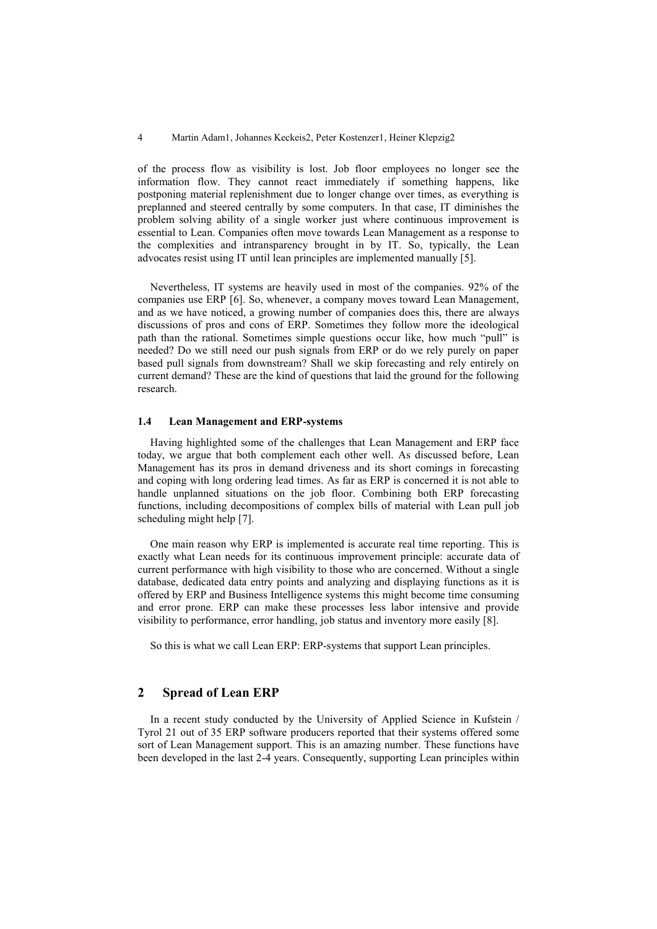of the process flow as visibility is lost. Job floor employees no longer see the information flow. They cannot react immediately if something happens, like postponing material replenishment due to longer change over times, as everything is preplanned and steered centrally by some computers. In that case, IT diminishes the problem solving ability of a single worker just where continuous improvement is essential to Lean. Companies often move towards Lean Management as a response to the complexities and intransparency brought in by IT. So, typically, the Lean advocates resist using IT until lean principles are implemented manually [5].

Nevertheless, IT systems are heavily used in most of the companies. 92% of the companies use ERP [6]. So, whenever, a company moves toward Lean Management, and as we have noticed, a growing number of companies does this, there are always discussions of pros and cons of ERP. Sometimes they follow more the ideological path than the rational. Sometimes simple questions occur like, how much "pull" is needed? Do we still need our push signals from ERP or do we rely purely on paper based pull signals from downstream? Shall we skip forecasting and rely entirely on current demand? These are the kind of questions that laid the ground for the following research.

#### **1.4 Lean Management and ERP-systems**

Having highlighted some of the challenges that Lean Management and ERP face today, we argue that both complement each other well. As discussed before, Lean Management has its pros in demand driveness and its short comings in forecasting and coping with long ordering lead times. As far as ERP is concerned it is not able to handle unplanned situations on the job floor. Combining both ERP forecasting functions, including decompositions of complex bills of material with Lean pull job scheduling might help [7].

One main reason why ERP is implemented is accurate real time reporting. This is exactly what Lean needs for its continuous improvement principle: accurate data of current performance with high visibility to those who are concerned. Without a single database, dedicated data entry points and analyzing and displaying functions as it is offered by ERP and Business Intelligence systems this might become time consuming and error prone. ERP can make these processes less labor intensive and provide visibility to performance, error handling, job status and inventory more easily [8].

So this is what we call Lean ERP: ERP-systems that support Lean principles.

## **2 Spread of Lean ERP**

In a recent study conducted by the University of Applied Science in Kufstein / Tyrol 21 out of 35 ERP software producers reported that their systems offered some sort of Lean Management support. This is an amazing number. These functions have been developed in the last 2-4 years. Consequently, supporting Lean principles within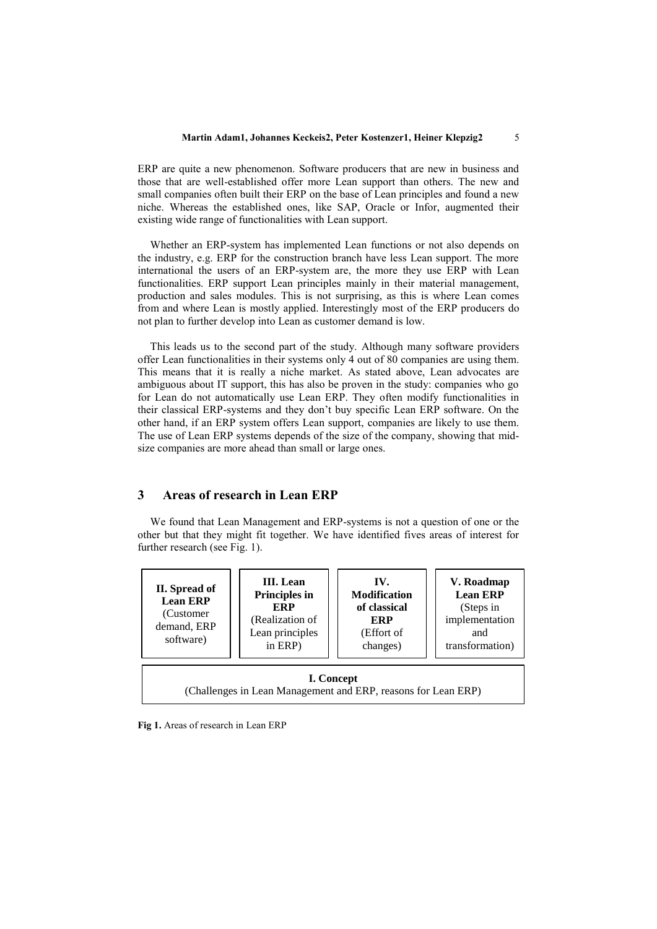ERP are quite a new phenomenon. Software producers that are new in business and those that are well-established offer more Lean support than others. The new and small companies often built their ERP on the base of Lean principles and found a new niche. Whereas the established ones, like SAP, Oracle or Infor, augmented their existing wide range of functionalities with Lean support.

Whether an ERP-system has implemented Lean functions or not also depends on the industry, e.g. ERP for the construction branch have less Lean support. The more international the users of an ERP-system are, the more they use ERP with Lean functionalities. ERP support Lean principles mainly in their material management, production and sales modules. This is not surprising, as this is where Lean comes from and where Lean is mostly applied. Interestingly most of the ERP producers do not plan to further develop into Lean as customer demand is low.

This leads us to the second part of the study. Although many software providers offer Lean functionalities in their systems only 4 out of 80 companies are using them. This means that it is really a niche market. As stated above, Lean advocates are ambiguous about IT support, this has also be proven in the study: companies who go for Lean do not automatically use Lean ERP. They often modify functionalities in their classical ERP-systems and they don't buy specific Lean ERP software. On the other hand, if an ERP system offers Lean support, companies are likely to use them. The use of Lean ERP systems depends of the size of the company, showing that midsize companies are more ahead than small or large ones.

## **3 Areas of research in Lean ERP**

We found that Lean Management and ERP-systems is not a question of one or the other but that they might fit together. We have identified fives areas of interest for further research (see Fig. 1).

| II. Spread of<br><b>Lean ERP</b><br>(Customer)<br>demand, ERP<br>software)  | III. Lean<br>Principles in<br>ERP<br>(Realization of<br>Lean principles<br>in ERP) | IV.<br><b>Modification</b><br>of classical<br>ERP<br>(Effort of<br>changes) | V. Roadmap<br><b>Lean ERP</b><br>(Steps in<br>implementation<br>and<br>transformation) |
|-----------------------------------------------------------------------------|------------------------------------------------------------------------------------|-----------------------------------------------------------------------------|----------------------------------------------------------------------------------------|
| I. Concept<br>(Challenges in Lean Management and ERP, reasons for Lean ERP) |                                                                                    |                                                                             |                                                                                        |

**Fig 1.** Areas of research in Lean ERP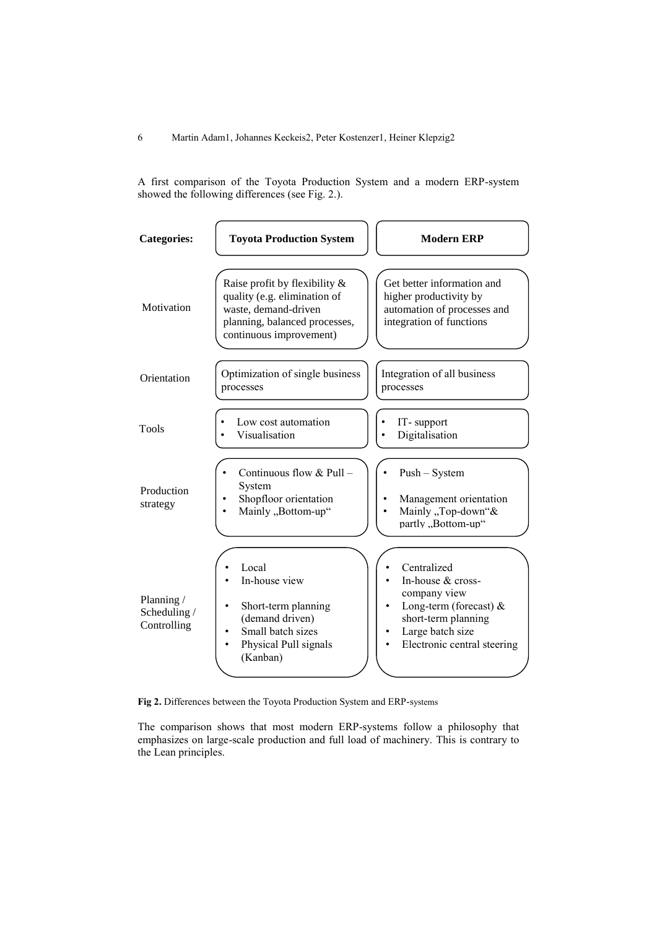A first comparison of the Toyota Production System and a modern ERP-system showed the following differences (see Fig. 2.).



**Fig 2.** Differences between the Toyota Production System and ERP-systems

The comparison shows that most modern ERP-systems follow a philosophy that emphasizes on large-scale production and full load of machinery. This is contrary to the Lean principles.